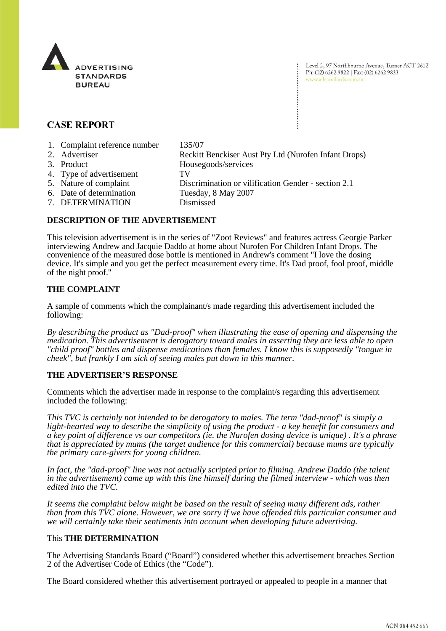

Level 2, 97 Northbourne Avenue, Turner ACT 2612 Ph: (02) 6262 9822 | Fax: (02) 6262 9833 www.adstandards.com.au

# **CASE REPORT**

- 1. Complaint reference number 135/07
- 2. Advertiser Reckitt Benckiser Aust Pty Ltd (Nurofen Infant Drops)
- 
- 4. Type of advertisement TV
- 
- 
- 
- 7. DETERMINATION Dismissed

3. Product Housegoods/services 5. Nature of complaint Discrimination or vilification Gender - section 2.1 6. Date of determination Tuesday, 8 May 2007

#### **DESCRIPTION OF THE ADVERTISEMENT**

This television advertisement is in the series of "Zoot Reviews" and features actress Georgie Parker interviewing Andrew and Jacquie Daddo at home about Nurofen For Children Infant Drops. The convenience of the measured dose bottle is mentioned in Andrew's comment "I love the dosing device. It's simple and you get the perfect measurement every time. It's Dad proof, fool proof, middle of the night proof."

# **THE COMPLAINT**

A sample of comments which the complainant/s made regarding this advertisement included the following:

*By describing the product as "Dad-proof" when illustrating the ease of opening and dispensing the medication. This advertisement is derogatory toward males in asserting they are less able to open "child proof" bottles and dispense medications than females. I know this is supposedly "tongue in cheek", but frankly I am sick of seeing males put down in this manner.* 

## **THE ADVERTISER'S RESPONSE**

Comments which the advertiser made in response to the complaint/s regarding this advertisement included the following:

*This TVC is certainly not intended to be derogatory to males. The term "dad-proof" is simply a light-hearted way to describe the simplicity of using the product - a key benefit for consumers and a key point of difference vs our competitors (ie. the Nurofen dosing device is unique) . It's a phrase that is appreciated by mums (the target audience for this commercial) because mums are typically the primary care-givers for young children.*

*In fact, the "dad-proof" line was not actually scripted prior to filming. Andrew Daddo (the talent in the advertisement) came up with this line himself during the filmed interview - which was then edited into the TVC.*

*It seems the complaint below might be based on the result of seeing many different ads, rather than from this TVC alone. However, we are sorry if we have offended this particular consumer and we will certainly take their sentiments into account when developing future advertising.*

## This **THE DETERMINATION**

The Advertising Standards Board ("Board") considered whether this advertisement breaches Section 2 of the Advertiser Code of Ethics (the "Code").

The Board considered whether this advertisement portrayed or appealed to people in a manner that